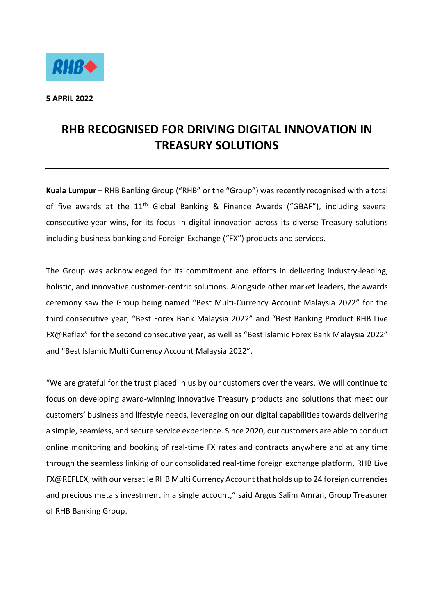

## **RHB RECOGNISED FOR DRIVING DIGITAL INNOVATION IN TREASURY SOLUTIONS**

**Kuala Lumpur** – RHB Banking Group ("RHB" or the "Group") was recently recognised with a total of five awards at the  $11<sup>th</sup>$  Global Banking & Finance Awards ("GBAF"), including several consecutive-year wins, for its focus in digital innovation across its diverse Treasury solutions including business banking and Foreign Exchange ("FX") products and services.

The Group was acknowledged for its commitment and efforts in delivering industry-leading, holistic, and innovative customer-centric solutions. Alongside other market leaders, the awards ceremony saw the Group being named "Best Multi-Currency Account Malaysia 2022" for the third consecutive year, "Best Forex Bank Malaysia 2022" and "Best Banking Product RHB Live FX@Reflex" for the second consecutive year, as well as "Best Islamic Forex Bank Malaysia 2022" and "Best Islamic Multi Currency Account Malaysia 2022".

"We are grateful for the trust placed in us by our customers over the years. We will continue to focus on developing award-winning innovative Treasury products and solutions that meet our customers' business and lifestyle needs, leveraging on our digital capabilities towards delivering a simple, seamless, and secure service experience. Since 2020, our customers are able to conduct online monitoring and booking of real-time FX rates and contracts anywhere and at any time through the seamless linking of our consolidated real-time foreign exchange platform, RHB Live FX@REFLEX, with our versatile RHB Multi Currency Account that holds up to 24 foreign currencies and precious metals investment in a single account," said Angus Salim Amran, Group Treasurer of RHB Banking Group.